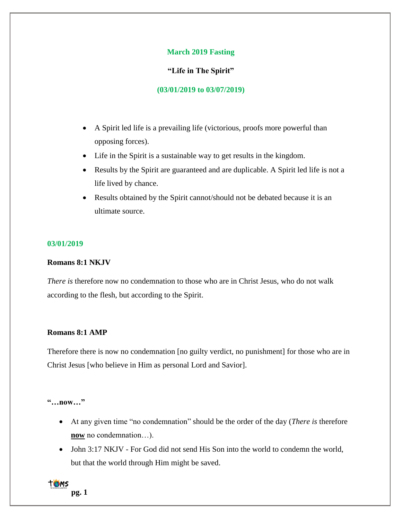# **March 2019 Fasting**

# **"Life in The Spirit"**

# **(03/01/2019 to 03/07/2019)**

- A Spirit led life is a prevailing life (victorious, proofs more powerful than opposing forces).
- Life in the Spirit is a sustainable way to get results in the kingdom.
- Results by the Spirit are guaranteed and are duplicable. A Spirit led life is not a life lived by chance.
- Results obtained by the Spirit cannot/should not be debated because it is an ultimate source.

### **03/01/2019**

### **Romans 8:1 NKJV**

*There is* therefore now no condemnation to those who are in Christ Jesus, who do not walk according to the flesh, but according to the Spirit.

# **Romans 8:1 AMP**

Therefore there is now no condemnation [no guilty verdict, no punishment] for those who are in Christ Jesus [who believe in Him as personal Lord and Savior].

**"…now…"**

- At any given time "no condemnation" should be the order of the day (*There is* therefore **now** no condemnation…).
- John 3:17 NKJV For God did not send His Son into the world to condemn the world, but that the world through Him might be saved.

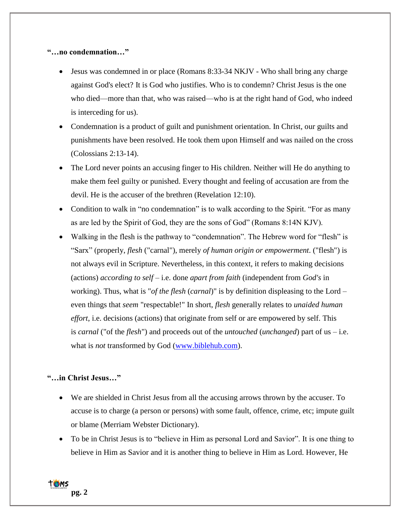# **"…no condemnation…"**

- Jesus was condemned in or place (Romans 8:33-34 NKJV Who shall bring any charge against God's elect? It is God who justifies. Who is to condemn? Christ Jesus is the one who died—more than that, who was raised—who is at the right hand of God, who indeed is interceding for us).
- Condemnation is a product of guilt and punishment orientation. In Christ, our guilts and punishments have been resolved. He took them upon Himself and was nailed on the cross (Colossians 2:13-14).
- The Lord never points an accusing finger to His children. Neither will He do anything to make them feel guilty or punished. Every thought and feeling of accusation are from the devil. He is the accuser of the brethren (Revelation 12:10).
- Condition to walk in "no condemnation" is to walk according to the Spirit. "For as many as are led by the Spirit of God, they are the sons of God" (Romans 8:14N KJV).
- Walking in the flesh is the pathway to "condemnation". The Hebrew word for "flesh" is "Sarx" (properly, *flesh* ("carnal"), merely *of human origin or empowerment*. ("flesh") is not always evil in Scripture. Nevertheless, in this context, it refers to making decisions (actions) *according to self* – i.e. done *apart from faith* (independent from *God's* in working). Thus, what is "*of the flesh* (*carnal*)" is by definition displeasing to the Lord – even things that *seem* "respectable!" In short, *flesh* generally relates to *unaided human effort*, i.e. decisions (actions) that originate from self or are empowered by self. This is *carnal* ("of the *flesh*") and proceeds out of the *untouched* (*unchanged*) part of us – i.e. what is *not* transformed by God [\(www.biblehub.com\)](http://www.biblehub.com/).

# **"…in Christ Jesus…"**

- We are shielded in Christ Jesus from all the accusing arrows thrown by the accuser. To accuse is to charge (a person or persons) with some fault, offence, crime, etc; impute guilt or blame (Merriam Webster Dictionary).
- To be in Christ Jesus is to "believe in Him as personal Lord and Savior". It is one thing to believe in Him as Savior and it is another thing to believe in Him as Lord. However, He

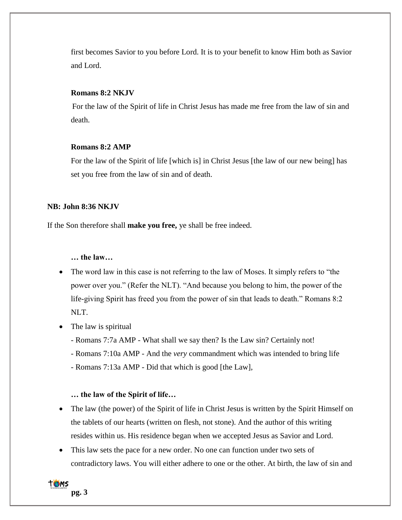first becomes Savior to you before Lord. It is to your benefit to know Him both as Savior and Lord.

## **Romans 8:2 NKJV**

For the law of the Spirit of life in Christ Jesus has made me free from the law of sin and death.

### **Romans 8:2 AMP**

For the law of the Spirit of life [which is] in Christ Jesus [the law of our new being] has set you free from the law of sin and of death.

#### **NB: John 8:36 NKJV**

If the Son therefore shall **make you free,** ye shall be free indeed.

**… the law…**

- The word law in this case is not referring to the law of Moses. It simply refers to "the power over you." (Refer the NLT). "And because you belong to him, the power of the life-giving Spirit has freed you from the power of sin that leads to death." Romans 8:2 NLT.
- The law is spiritual
	- Romans 7:7a AMP What shall we say then? Is the Law sin? Certainly not!
	- Romans 7:10a AMP And the *very* commandment which was intended to bring life
	- Romans 7:13a AMP Did that which is good [the Law],

### **… the law of the Spirit of life…**

- The law (the power) of the Spirit of life in Christ Jesus is written by the Spirit Himself on the tablets of our hearts (written on flesh, not stone). And the author of this writing resides within us. His residence began when we accepted Jesus as Savior and Lord.
- This law sets the pace for a new order. No one can function under two sets of contradictory laws. You will either adhere to one or the other. At birth, the law of sin and

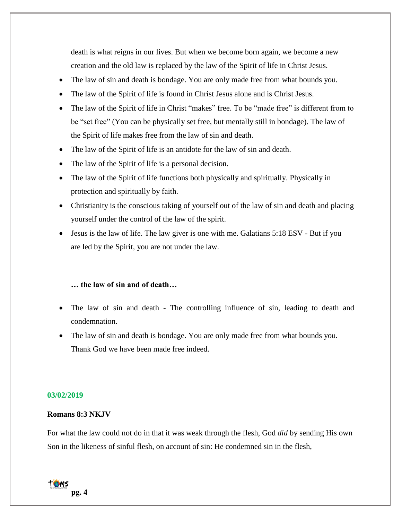death is what reigns in our lives. But when we become born again, we become a new creation and the old law is replaced by the law of the Spirit of life in Christ Jesus.

- The law of sin and death is bondage. You are only made free from what bounds you.
- The law of the Spirit of life is found in Christ Jesus alone and is Christ Jesus.
- The law of the Spirit of life in Christ "makes" free. To be "made free" is different from to be "set free" (You can be physically set free, but mentally still in bondage). The law of the Spirit of life makes free from the law of sin and death.
- The law of the Spirit of life is an antidote for the law of sin and death.
- The law of the Spirit of life is a personal decision.
- The law of the Spirit of life functions both physically and spiritually. Physically in protection and spiritually by faith.
- Christianity is the conscious taking of yourself out of the law of sin and death and placing yourself under the control of the law of the spirit.
- Jesus is the law of life. The law giver is one with me. Galatians 5:18 ESV But if you are led by the Spirit, you are not under the law.

### **… the law of sin and of death…**

- The law of sin and death The controlling influence of sin, leading to death and condemnation.
- The law of sin and death is bondage. You are only made free from what bounds you. Thank God we have been made free indeed.

#### **03/02/2019**

#### **Romans 8:3 NKJV**

For what the law could not do in that it was weak through the flesh, God *did* by sending His own Son in the likeness of sinful flesh, on account of sin: He condemned sin in the flesh,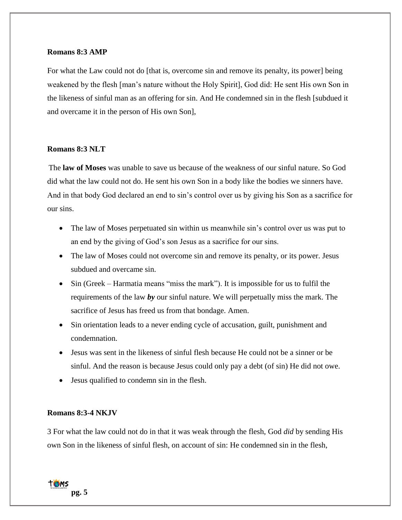### **Romans 8:3 AMP**

For what the Law could not do [that is, overcome sin and remove its penalty, its power] being weakened by the flesh [man's nature without the Holy Spirit], God did: He sent His own Son in the likeness of sinful man as an offering for sin. And He condemned sin in the flesh [subdued it and overcame it in the person of His own Son],

# **Romans 8:3 NLT**

The **law of Moses** was unable to save us because of the weakness of our sinful nature. So God did what the law could not do. He sent his own Son in a body like the bodies we sinners have. And in that body God declared an end to sin's control over us by giving his Son as a sacrifice for our sins.

- The law of Moses perpetuated sin within us meanwhile sin's control over us was put to an end by the giving of God's son Jesus as a sacrifice for our sins.
- The law of Moses could not overcome sin and remove its penalty, or its power. Jesus subdued and overcame sin.
- Sin (Greek Harmatia means "miss the mark"). It is impossible for us to fulfil the requirements of the law *by* our sinful nature. We will perpetually miss the mark. The sacrifice of Jesus has freed us from that bondage. Amen.
- Sin orientation leads to a never ending cycle of accusation, guilt, punishment and condemnation.
- Jesus was sent in the likeness of sinful flesh because He could not be a sinner or be sinful. And the reason is because Jesus could only pay a debt (of sin) He did not owe.
- Jesus qualified to condemn sin in the flesh.

## **Romans 8:3-4 NKJV**

3 For what the law could not do in that it was weak through the flesh, God *did* by sending His own Son in the likeness of sinful flesh, on account of sin: He condemned sin in the flesh,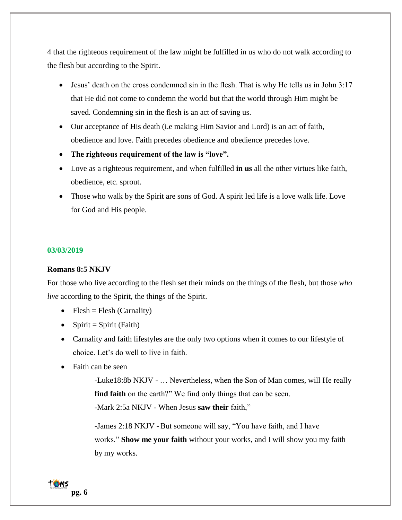4 that the righteous requirement of the law might be fulfilled in us who do not walk according to the flesh but according to the Spirit.

- Jesus' death on the cross condemned sin in the flesh. That is why He tells us in John 3:17 that He did not come to condemn the world but that the world through Him might be saved. Condemning sin in the flesh is an act of saving us.
- Our acceptance of His death (i.e making Him Savior and Lord) is an act of faith, obedience and love. Faith precedes obedience and obedience precedes love.
- **The righteous requirement of the law is "love".**
- Love as a righteous requirement, and when fulfilled **in us** all the other virtues like faith, obedience, etc. sprout.
- Those who walk by the Spirit are sons of God. A spirit led life is a love walk life. Love for God and His people.

### **03/03/2019**

#### **Romans 8:5 NKJV**

For those who live according to the flesh set their minds on the things of the flesh, but those *who live* according to the Spirit, the things of the Spirit.

- Flesh = Flesh (Carnality)
- Spirit = Spirit (Faith)
- Carnality and faith lifestyles are the only two options when it comes to our lifestyle of choice. Let's do well to live in faith.
- Faith can be seen

-Luke18:8b NKJV - … Nevertheless, when the Son of Man comes, will He really **find faith** on the earth?" We find only things that can be seen.

-Mark 2:5a NKJV - When Jesus **saw their** faith,"

-James 2:18 NKJV - But someone will say, "You have faith, and I have works." **Show me your faith** without your works, and I will show you my faith by my works.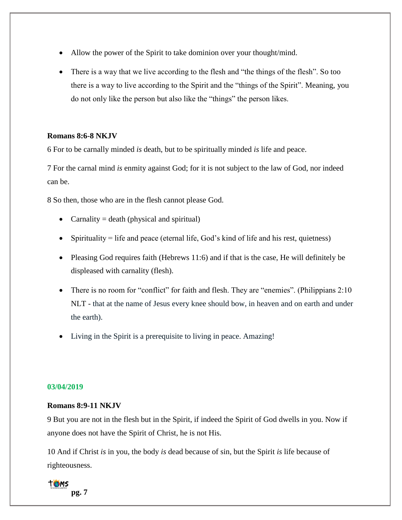- Allow the power of the Spirit to take dominion over your thought/mind.
- There is a way that we live according to the flesh and "the things of the flesh". So too there is a way to live according to the Spirit and the "things of the Spirit". Meaning, you do not only like the person but also like the "things" the person likes.

# **Romans 8:6-8 NKJV**

6 For to be carnally minded *is* death, but to be spiritually minded *is* life and peace.

7 For the carnal mind *is* enmity against God; for it is not subject to the law of God, nor indeed can be.

8 So then, those who are in the flesh cannot please God.

- Carnality = death (physical and spiritual)
- Spirituality = life and peace (eternal life, God's kind of life and his rest, quietness)
- Pleasing God requires faith (Hebrews 11:6) and if that is the case, He will definitely be displeased with carnality (flesh).
- There is no room for "conflict" for faith and flesh. They are "enemies". (Philippians 2:10) NLT - that at the name of Jesus every knee should bow, in heaven and on earth and under the earth).
- Living in the Spirit is a prerequisite to living in peace. Amazing!

### **03/04/2019**

## **Romans 8:9-11 NKJV**

9 But you are not in the flesh but in the Spirit, if indeed the Spirit of God dwells in you. Now if anyone does not have the Spirit of Christ, he is not His.

10 And if Christ *is* in you, the body *is* dead because of sin, but the Spirit *is* life because of righteousness.

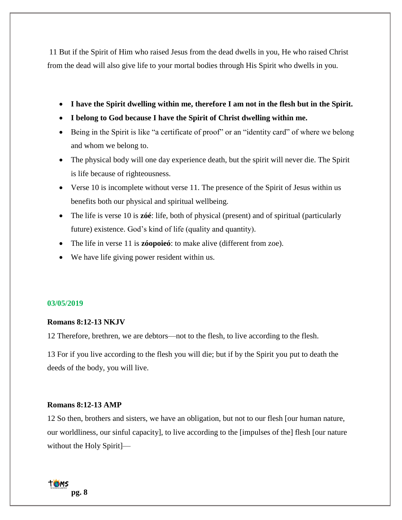11 But if the Spirit of Him who raised Jesus from the dead dwells in you, He who raised Christ from the dead will also give life to your mortal bodies through His Spirit who dwells in you.

- **I have the Spirit dwelling within me, therefore I am not in the flesh but in the Spirit.**
- **I belong to God because I have the Spirit of Christ dwelling within me.**
- Being in the Spirit is like "a certificate of proof" or an "identity card" of where we belong and whom we belong to.
- The physical body will one day experience death, but the spirit will never die. The Spirit is life because of righteousness.
- Verse 10 is incomplete without verse 11. The presence of the Spirit of Jesus within us benefits both our physical and spiritual wellbeing.
- The life is verse 10 is **zóé**: life, both of physical (present) and of spiritual (particularly future) existence. God's kind of life (quality and quantity).
- The life in verse 11 is **zóopoieó**: to make alive (different from zoe).
- We have life giving power resident within us.

### **03/05/2019**

## **Romans 8:12-13 NKJV**

12 Therefore, brethren, we are debtors—not to the flesh, to live according to the flesh.

13 For if you live according to the flesh you will die; but if by the Spirit you put to death the deeds of the body, you will live.

## **Romans 8:12-13 AMP**

12 So then, brothers and sisters, we have an obligation, but not to our flesh [our human nature, our worldliness, our sinful capacity], to live according to the [impulses of the] flesh [our nature without the Holy Spirit]—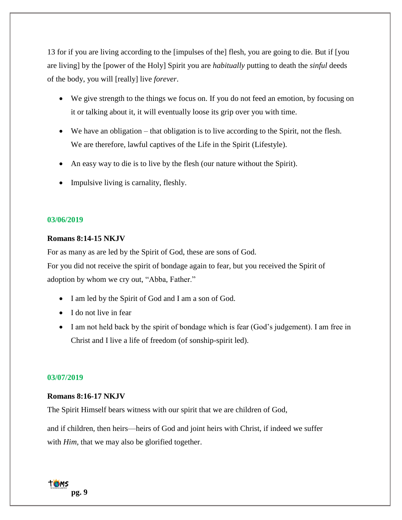13 for if you are living according to the [impulses of the] flesh, you are going to die. But if [you are living] by the [power of the Holy] Spirit you are *habitually* putting to death the *sinful* deeds of the body, you will [really] live *forever*.

- We give strength to the things we focus on. If you do not feed an emotion, by focusing on it or talking about it, it will eventually loose its grip over you with time.
- We have an obligation that obligation is to live according to the Spirit, not the flesh. We are therefore, lawful captives of the Life in the Spirit (Lifestyle).
- An easy way to die is to live by the flesh (our nature without the Spirit).
- Impulsive living is carnality, fleshly.

### **03/06/2019**

# **Romans 8:14-15 NKJV**

For as many as are led by the Spirit of God, these are sons of God.

For you did not receive the spirit of bondage again to fear, but you received the Spirit of adoption by whom we cry out, "Abba, Father."

- I am led by the Spirit of God and I am a son of God.
- I do not live in fear
- I am not held back by the spirit of bondage which is fear (God's judgement). I am free in Christ and I live a life of freedom (of sonship-spirit led).

#### **03/07/2019**

### **Romans 8:16-17 NKJV**

The Spirit Himself bears witness with our spirit that we are children of God,

and if children, then heirs—heirs of God and joint heirs with Christ, if indeed we suffer with *Him*, that we may also be glorified together.